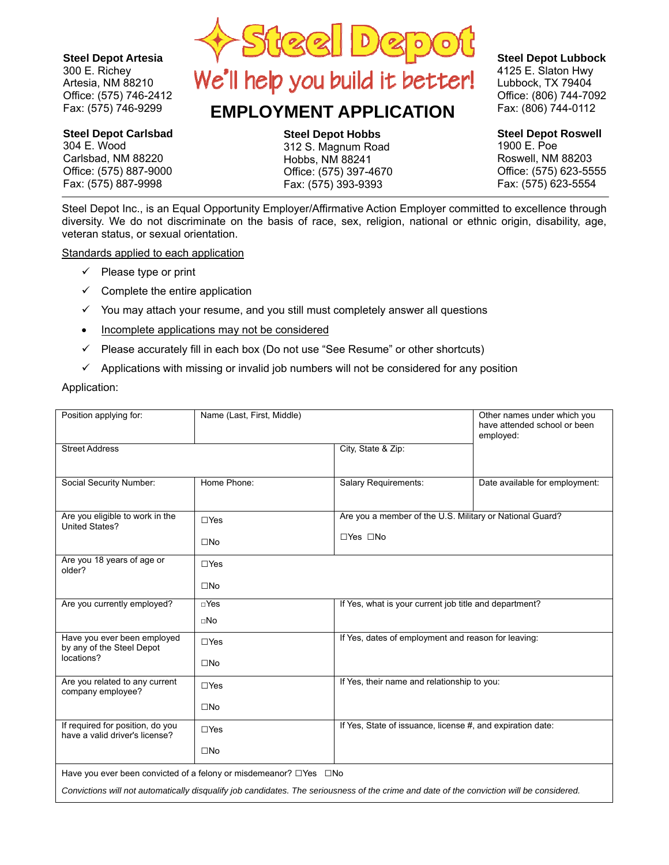**Steel Depot Artesia**

 $\sim$  NIM 00010 **304 East Wood**  Artesia, NM 88210 Office: (575) 746-2412 Fax: (575) 746-9299 300 E. Richey

### **Steel Depot Carlsbad**

**300 East Richey**  304 E. Wood **Artesia, NM 88210**  Carlsbad, NM 88220 **(575) 746-2412 Office**  Office: (575) 887-9000 **(575) 746-9299 Fax** Fax: (575) 887-9998



# **EMPLOYMENT APPLICATION**

**Steel Depat Hobbs Steel Depot Hobbs Steel Depot Hobbs** 

 **312 East Magnum Rd**  312 S. Magnum Road **Hobbs, NM 88241**  Hobbs, NM 88241 Office: (575) 397-4670  $\overline{a}$ **(575) 393-9393 Fax** Fax: (575) 393-9393

 $\mathbf{S}$   $\mathbf{S}$   $\mathbf{S}$   $\mathbf{S}$   $\mathbf{S}$   $\mathbf{S}$   $\mathbf{S}$   $\mathbf{S}$   $\mathbf{S}$   $\mathbf{S}$   $\mathbf{S}$   $\mathbf{S}$   $\mathbf{S}$   $\mathbf{S}$   $\mathbf{S}$   $\mathbf{S}$   $\mathbf{S}$   $\mathbf{S}$   $\mathbf{S}$   $\mathbf{S}$   $\mathbf{S}$   $\mathbf{S}$   $\mathbf{S}$   $\mathbf{S}$   $\mathbf{$ **1900 Eubbock, TX 79404 Roswell, NM 88203**  Office: (806) 744-7092 **(575) 623-5555 Office**  Fax: (806) 744-0112 **Steel Depot Lubbock** 4125 E. Slaton Hwy

#### **Steel Depot Roswell 4125 East Slaton Hwy**  1900 E. Poe **Lubbock, TX 79404**  Roswell, NM 88203 **(806) 744-7092 Office**  Office: (575) 623-5555

**(806) 744-0112 Fax**  Fax: (575) 623-5554

Steel Depot Inc., is an Equal Opportunity Employer/Affirmative Action Employer committed to excellence through diversity. We do not discriminate on the basis of race, sex, religion, national or ethnic origin, disability, age, veteran status, or sexual orientation.

Standards applied to each application

- $\checkmark$  Please type or print
- $\checkmark$  Complete the entire application
- $\checkmark$  You may attach your resume, and you still must completely answer all questions
- Incomplete applications may not be considered
- $\checkmark$  Please accurately fill in each box (Do not use "See Resume" or other shortcuts)
- $\checkmark$  Applications with missing or invalid job numbers will not be considered for any position

Application:

| Position applying for:                                             | Name (Last, First, Middle)                                                    |                                                                                                                                           | Other names under which you<br>have attended school or been<br>employed: |  |
|--------------------------------------------------------------------|-------------------------------------------------------------------------------|-------------------------------------------------------------------------------------------------------------------------------------------|--------------------------------------------------------------------------|--|
| <b>Street Address</b>                                              |                                                                               | City, State & Zip:                                                                                                                        |                                                                          |  |
|                                                                    |                                                                               |                                                                                                                                           |                                                                          |  |
| Social Security Number:                                            | Home Phone:                                                                   | <b>Salary Requirements:</b>                                                                                                               | Date available for employment:                                           |  |
|                                                                    |                                                                               |                                                                                                                                           |                                                                          |  |
| Are you eligible to work in the<br>United States?                  | $\Box$ Yes                                                                    | Are you a member of the U.S. Military or National Guard?                                                                                  |                                                                          |  |
|                                                                    | $\square$ No                                                                  | $\Box$ Yes $\Box$ No                                                                                                                      |                                                                          |  |
| Are you 18 years of age or<br>older?                               | $\Box$ Yes                                                                    |                                                                                                                                           |                                                                          |  |
|                                                                    | $\square$ No                                                                  |                                                                                                                                           |                                                                          |  |
| Are you currently employed?                                        | $\Box$ Yes                                                                    | If Yes, what is your current job title and department?                                                                                    |                                                                          |  |
|                                                                    | $\Box$ No                                                                     |                                                                                                                                           |                                                                          |  |
| Have you ever been employed<br>by any of the Steel Depot           | $\Box$ Yes                                                                    | If Yes, dates of employment and reason for leaving:                                                                                       |                                                                          |  |
| locations?                                                         | $\square$ No                                                                  |                                                                                                                                           |                                                                          |  |
| Are you related to any current<br>company employee?                | $\Box$ Yes                                                                    | If Yes, their name and relationship to you:                                                                                               |                                                                          |  |
|                                                                    | $\square$ No                                                                  |                                                                                                                                           |                                                                          |  |
| If required for position, do you<br>have a valid driver's license? | $\Box$ Yes                                                                    | If Yes, State of issuance, license #, and expiration date:                                                                                |                                                                          |  |
|                                                                    | $\square$ No                                                                  |                                                                                                                                           |                                                                          |  |
|                                                                    | Have you ever been convicted of a felony or misdemeanor? $\Box$ Yes $\Box$ No |                                                                                                                                           |                                                                          |  |
|                                                                    |                                                                               | Convictions will not automatically disqualify job candidates. The seriousness of the crime and date of the conviction will be considered. |                                                                          |  |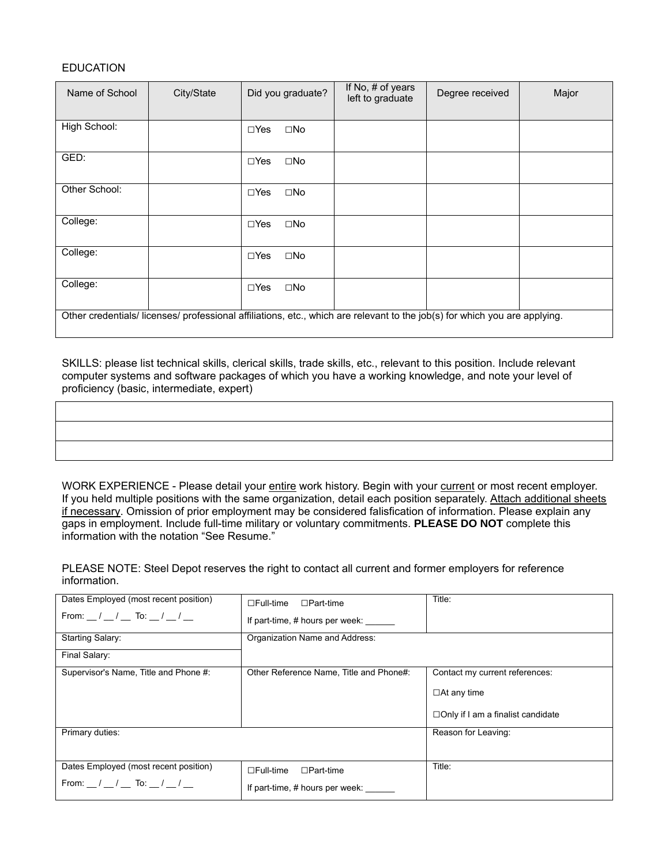#### **EDUCATION**

| Name of School                                                                                                           | City/State |               | Did you graduate? | If No, # of years<br>left to graduate | Degree received | Major |
|--------------------------------------------------------------------------------------------------------------------------|------------|---------------|-------------------|---------------------------------------|-----------------|-------|
| High School:                                                                                                             |            | $\Box$ Yes    | $\square$ No      |                                       |                 |       |
| GED:                                                                                                                     |            | $\Box$ Yes    | $\square$ No      |                                       |                 |       |
| Other School:                                                                                                            |            | $\Box$ Yes    | $\square$ No      |                                       |                 |       |
| College:                                                                                                                 |            | $\square$ Yes | $\square$ No      |                                       |                 |       |
| College:                                                                                                                 |            | $\square$ Yes | $\square$ No      |                                       |                 |       |
| College:                                                                                                                 |            | $\Box$ Yes    | $\square$ No      |                                       |                 |       |
| Other credentials/licenses/professional affiliations, etc., which are relevant to the job(s) for which you are applying. |            |               |                   |                                       |                 |       |

SKILLS: please list technical skills, clerical skills, trade skills, etc., relevant to this position. Include relevant computer systems and software packages of which you have a working knowledge, and note your level of proficiency (basic, intermediate, expert)

WORK EXPERIENCE - Please detail your entire work history. Begin with your current or most recent employer.

If you held multiple positions with the same organization, detail each position separately. Attach additional sheets if necessary. Omission of prior employment may be considered falisfication of information. Please explain any gaps in employment. Include full-time military or voluntary commitments. **PLEASE DO NOT** complete this information with the notation "See Resume."

PLEASE NOTE: Steel Depot reserves the right to contact all current and former employers for reference information.

| Dates Employed (most recent position)   | $\Box$ Full-time<br>$\Box$ Part-time    | Title:                                   |
|-----------------------------------------|-----------------------------------------|------------------------------------------|
| From: $\frac{1}{1}$ / To: $\frac{1}{1}$ | If part-time, # hours per week:         |                                          |
| <b>Starting Salary:</b>                 | Organization Name and Address:          |                                          |
| Final Salary:                           |                                         |                                          |
| Supervisor's Name, Title and Phone #:   | Other Reference Name, Title and Phone#: | Contact my current references:           |
|                                         |                                         | $\Box$ At any time                       |
|                                         |                                         | $\Box$ Only if I am a finalist candidate |
| Primary duties:                         |                                         | Reason for Leaving:                      |
|                                         |                                         |                                          |
| Dates Employed (most recent position)   | $\Box$ Full-time<br>$\Box$ Part-time    | Title:                                   |
| From: $\frac{1}{1}$ / To: $\frac{1}{1}$ | If part-time, # hours per week:         |                                          |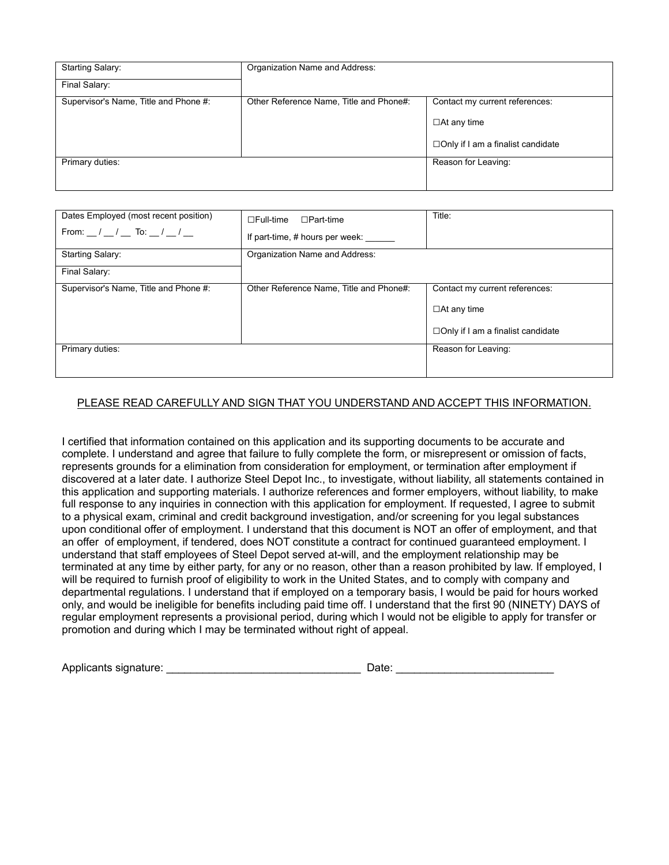| <b>Starting Salary:</b>               | Organization Name and Address:          |                                     |
|---------------------------------------|-----------------------------------------|-------------------------------------|
| Final Salary:                         |                                         |                                     |
| Supervisor's Name, Title and Phone #: | Other Reference Name, Title and Phone#: | Contact my current references:      |
|                                       |                                         | $\Box$ At any time                  |
|                                       |                                         | □ Only if I am a finalist candidate |
| Primary duties:                       |                                         | Reason for Leaving:                 |
|                                       |                                         |                                     |

| Dates Employed (most recent position)                                 | $\Box$ Part-time<br>$\square$ Full-time | Title:                                   |
|-----------------------------------------------------------------------|-----------------------------------------|------------------------------------------|
| From: $\frac{1}{2}$ / $\frac{1}{2}$ To: $\frac{1}{2}$ / $\frac{1}{2}$ | If part-time, # hours per week:         |                                          |
| <b>Starting Salary:</b>                                               | Organization Name and Address:          |                                          |
| Final Salary:                                                         |                                         |                                          |
| Supervisor's Name, Title and Phone #:                                 | Other Reference Name, Title and Phone#: | Contact my current references:           |
|                                                                       |                                         | $\Box$ At any time                       |
|                                                                       |                                         | $\Box$ Only if I am a finalist candidate |
| Primary duties:                                                       |                                         | Reason for Leaving:                      |
|                                                                       |                                         |                                          |

#### PLEASE READ CAREFULLY AND SIGN THAT YOU UNDERSTAND AND ACCEPT THIS INFORMATION.

I certified that information contained on this application and its supporting documents to be accurate and complete. I understand and agree that failure to fully complete the form, or misrepresent or omission of facts, represents grounds for a elimination from consideration for employment, or termination after employment if discovered at a later date. I authorize Steel Depot Inc., to investigate, without liability, all statements contained in this application and supporting materials. I authorize references and former employers, without liability, to make full response to any inquiries in connection with this application for employment. If requested, I agree to submit to a physical exam, criminal and credit background investigation, and/or screening for you legal substances upon conditional offer of employment. I understand that this document is NOT an offer of employment, and that an offer of employment, if tendered, does NOT constitute a contract for continued guaranteed employment. I understand that staff employees of Steel Depot served at-will, and the employment relationship may be terminated at any time by either party, for any or no reason, other than a reason prohibited by law. If employed, I will be required to furnish proof of eligibility to work in the United States, and to comply with company and departmental regulations. I understand that if employed on a temporary basis, I would be paid for hours worked only, and would be ineligible for benefits including paid time off. I understand that the first 90 (NINETY) DAYS of regular employment represents a provisional period, during which I would not be eligible to apply for transfer or promotion and during which I may be terminated without right of appeal.

| Applicants signature: | Date |
|-----------------------|------|
|-----------------------|------|